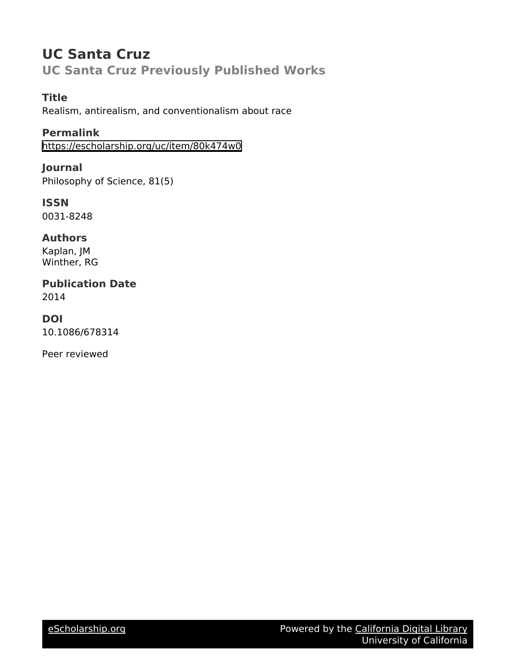# **UC Santa Cruz UC Santa Cruz Previously Published Works**

## **Title**

Realism, antirealism, and conventionalism about race

## **Permalink**

<https://escholarship.org/uc/item/80k474w0>

**Journal** Philosophy of Science, 81(5)

**ISSN** 0031-8248

**Authors** Kaplan, JM Winther, RG

**Publication Date** 2014

**DOI** 10.1086/678314

Peer reviewed

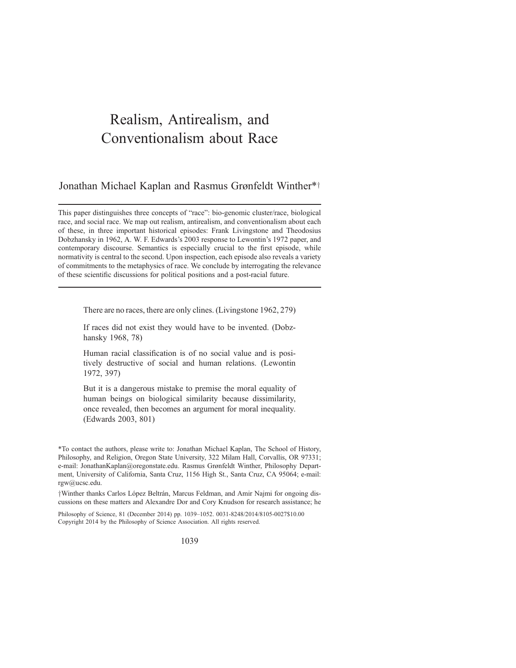# Realism, Antirealism, and Conventionalism about Race

### Jonathan Michael Kaplan and Rasmus Grønfeldt Winther\*<sup>†</sup>

This paper distinguishes three concepts of "race": bio-genomic cluster/race, biological race, and social race. We map out realism, antirealism, and conventionalism about each of these, in three important historical episodes: Frank Livingstone and Theodosius Dobzhansky in 1962, A. W. F. Edwards's 2003 response to Lewontin's 1972 paper, and contemporary discourse. Semantics is especially crucial to the first episode, while normativity is central to the second. Upon inspection, each episode also reveals a variety of commitments to the metaphysics of race. We conclude by interrogating the relevance of these scientific discussions for political positions and a post-racial future.

There are no races, there are only clines. (Livingstone 1962, 279)

If races did not exist they would have to be invented. (Dobzhansky 1968, 78)

Human racial classification is of no social value and is positively destructive of social and human relations. (Lewontin 1972, 397)

But it is a dangerous mistake to premise the moral equality of human beings on biological similarity because dissimilarity, once revealed, then becomes an argument for moral inequality. (Edwards 2003, 801)

\*To contact the authors, please write to: Jonathan Michael Kaplan, The School of History, Philosophy, and Religion, Oregon State University, 322 Milam Hall, Corvallis, OR 97331; e-mail: JonathanKaplan@oregonstate.edu. Rasmus Grønfeldt Winther, Philosophy Department, University of California, Santa Cruz, 1156 High St., Santa Cruz, CA 95064; e-mail: rgw@ucsc.edu.

<sup>†</sup>Winther thanks Carlos López Beltrán, Marcus Feldman, and Amir Najmi for ongoing discussions on these matters and Alexandre Dor and Cory Knudson for research assistance; he

Philosophy of Science, 81 (December 2014) pp. 1039–1052. 0031-8248/2014/8105-0027\$10.00 Copyright 2014 by the Philosophy of Science Association. All rights reserved.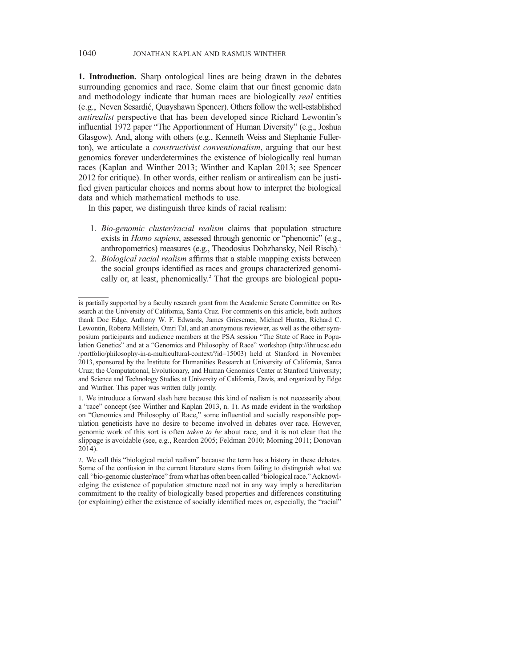1. Introduction. Sharp ontological lines are being drawn in the debates surrounding genomics and race. Some claim that our finest genomic data and methodology indicate that human races are biologically *real* entities (e.g., Neven Sesardić, Quayshawn Spencer). Others follow the well-established antirealist perspective that has been developed since Richard Lewontin's influential 1972 paper "The Apportionment of Human Diversity" (e.g., Joshua Glasgow). And, along with others (e.g., Kenneth Weiss and Stephanie Fullerton), we articulate a constructivist conventionalism, arguing that our best genomics forever underdetermines the existence of biologically real human races (Kaplan and Winther 2013; Winther and Kaplan 2013; see Spencer 2012 for critique). In other words, either realism or antirealism can be justified given particular choices and norms about how to interpret the biological data and which mathematical methods to use.

In this paper, we distinguish three kinds of racial realism:

- 1. Bio-genomic cluster/racial realism claims that population structure exists in *Homo sapiens*, assessed through genomic or "phenomic" (e.g., anthropometrics) measures (e.g., Theodosius Dobzhansky, Neil Risch).<sup>1</sup>
- 2. Biological racial realism affirms that a stable mapping exists between the social groups identified as races and groups characterized genomically or, at least, phenomically.<sup>2</sup> That the groups are biological popu-

is partially supported by a faculty research grant from the Academic Senate Committee on Research at the University of California, Santa Cruz. For comments on this article, both authors thank Doc Edge, Anthony W. F. Edwards, James Griesemer, Michael Hunter, Richard C. Lewontin, Roberta Millstein, Omri Tal, and an anonymous reviewer, as well as the other symposium participants and audience members at the PSA session "The State of Race in Population Genetics" and at a "Genomics and Philosophy of Race" workshop (http://ihr.ucsc.edu /portfolio/philosophy-in-a-multicultural-context/?id=15003) held at Stanford in November 2013, sponsored by the Institute for Humanities Research at University of California, Santa Cruz; the Computational, Evolutionary, and Human Genomics Center at Stanford University; and Science and Technology Studies at University of California, Davis, and organized by Edge and Winther. This paper was written fully jointly.

<sup>1.</sup> We introduce a forward slash here because this kind of realism is not necessarily about a "race" concept (see Winther and Kaplan 2013, n. 1). As made evident in the workshop on "Genomics and Philosophy of Race," some influential and socially responsible population geneticists have no desire to become involved in debates over race. However, genomic work of this sort is often taken to be about race, and it is not clear that the slippage is avoidable (see, e.g., Reardon 2005; Feldman 2010; Morning 2011; Donovan 2014).

<sup>2.</sup> We call this "biological racial realism" because the term has a history in these debates. Some of the confusion in the current literature stems from failing to distinguish what we call "bio-genomic cluster/race" from what has often been called "biological race." Acknowledging the existence of population structure need not in any way imply a hereditarian commitment to the reality of biologically based properties and differences constituting (or explaining) either the existence of socially identified races or, especially, the "racial"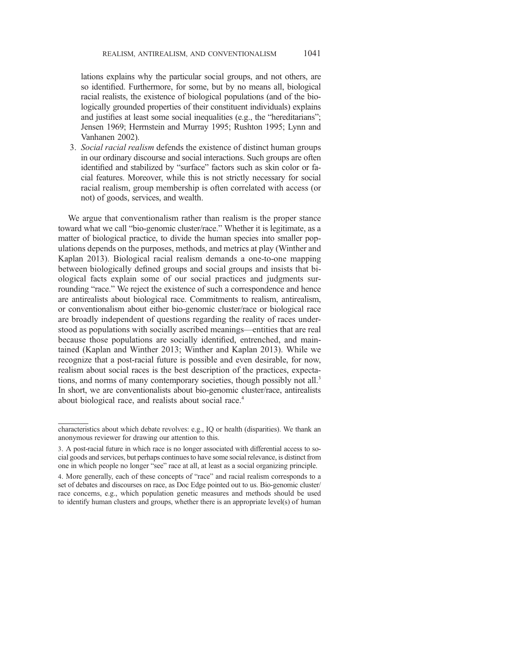lations explains why the particular social groups, and not others, are so identified. Furthermore, for some, but by no means all, biological racial realists, the existence of biological populations (and of the biologically grounded properties of their constituent individuals) explains and justifies at least some social inequalities (e.g., the "hereditarians"; Jensen 1969; Herrnstein and Murray 1995; Rushton 1995; Lynn and Vanhanen 2002).

3. Social racial realism defends the existence of distinct human groups in our ordinary discourse and social interactions. Such groups are often identified and stabilized by "surface" factors such as skin color or facial features. Moreover, while this is not strictly necessary for social racial realism, group membership is often correlated with access (or not) of goods, services, and wealth.

We argue that conventionalism rather than realism is the proper stance toward what we call "bio-genomic cluster/race." Whether it is legitimate, as a matter of biological practice, to divide the human species into smaller populations depends on the purposes, methods, and metrics at play (Winther and Kaplan 2013). Biological racial realism demands a one-to-one mapping between biologically defined groups and social groups and insists that biological facts explain some of our social practices and judgments surrounding "race." We reject the existence of such a correspondence and hence are antirealists about biological race. Commitments to realism, antirealism, or conventionalism about either bio-genomic cluster/race or biological race are broadly independent of questions regarding the reality of races understood as populations with socially ascribed meanings—entities that are real because those populations are socially identified, entrenched, and maintained (Kaplan and Winther 2013; Winther and Kaplan 2013). While we recognize that a post-racial future is possible and even desirable, for now, realism about social races is the best description of the practices, expectations, and norms of many contemporary societies, though possibly not all.<sup>3</sup> In short, we are conventionalists about bio-genomic cluster/race, antirealists about biological race, and realists about social race.<sup>4</sup>

characteristics about which debate revolves: e.g., IQ or health (disparities). We thank an anonymous reviewer for drawing our attention to this.

<sup>3.</sup> A post-racial future in which race is no longer associated with differential access to social goods and services, but perhaps continues to have some social relevance, is distinct from one in which people no longer "see" race at all, at least as a social organizing principle.

<sup>4.</sup> More generally, each of these concepts of "race" and racial realism corresponds to a set of debates and discourses on race, as Doc Edge pointed out to us. Bio-genomic cluster/ race concerns, e.g., which population genetic measures and methods should be used to identify human clusters and groups, whether there is an appropriate level(s) of human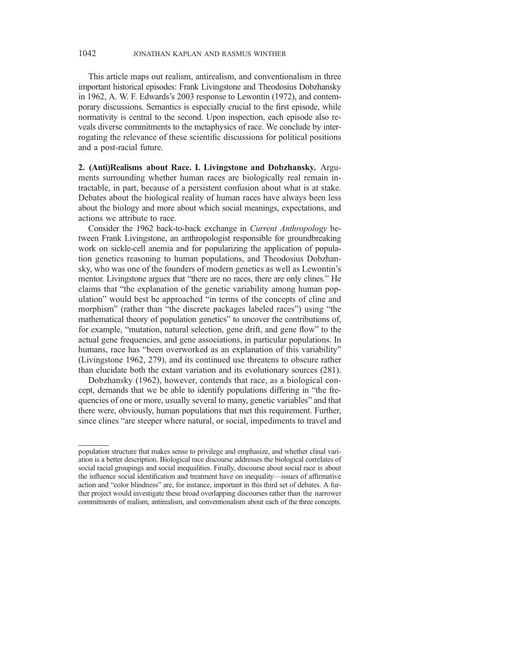#### 1042 JONATHAN KAPLAN AND RASMUS WINTHER

This article maps out realism, antirealism, and conventionalism in three important historical episodes: Frank Livingstone and Theodosius Dobzhansky in 1962, A. W. F. Edwards's 2003 response to Lewontin (1972), and contemporary discussions. Semantics is especially crucial to the first episode, while normativity is central to the second. Upon inspection, each episode also reveals diverse commitments to the metaphysics of race. We conclude by interrogating the relevance of these scientific discussions for political positions and a post-racial future.

2. (Anti)Realisms about Race. I. Livingstone and Dobzhansky. Arguments surrounding whether human races are biologically real remain intractable, in part, because of a persistent confusion about what is at stake. Debates about the biological reality of human races have always been less about the biology and more about which social meanings, expectations, and actions we attribute to race.

Consider the 1962 back-to-back exchange in Current Anthropology between Frank Livingstone, an anthropologist responsible for groundbreaking work on sickle-cell anemia and for popularizing the application of population genetics reasoning to human populations, and Theodosius Dobzhansky, who was one of the founders of modern genetics as well as Lewontin's mentor. Livingstone argues that "there are no races, there are only clines." He claims that "the explanation of the genetic variability among human population" would best be approached "in terms of the concepts of cline and morphism" (rather than "the discrete packages labeled races") using "the mathematical theory of population genetics" to uncover the contributions of, for example, "mutation, natural selection, gene drift, and gene flow" to the actual gene frequencies, and gene associations, in particular populations. In humans, race has "been overworked as an explanation of this variability" (Livingstone 1962, 279), and its continued use threatens to obscure rather than elucidate both the extant variation and its evolutionary sources (281).

Dobzhansky (1962), however, contends that race, as a biological concept, demands that we be able to identify populations differing in "the frequencies of one or more, usually several to many, genetic variables" and that there were, obviously, human populations that met this requirement. Further, since clines "are steeper where natural, or social, impediments to travel and

population structure that makes sense to privilege and emphasize, and whether clinal variation is a better description. Biological race discourse addresses the biological correlates of social racial groupings and social inequalities. Finally, discourse about social race is about the influence social identification and treatment have on inequality—issues of affirmative action and "color blindness" are, for instance, important in this third set of debates. A further project would investigate these broad overlapping discourses rather than the narrower commitments of realism, antirealism, and conventionalism about each of the three concepts.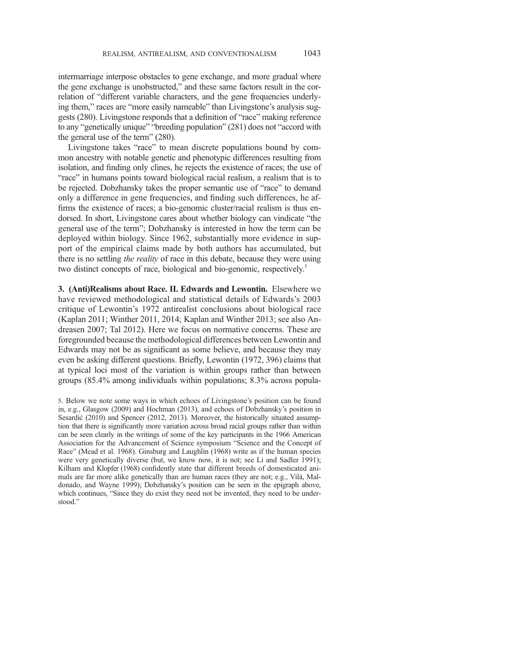intermarriage interpose obstacles to gene exchange, and more gradual where the gene exchange is unobstructed," and these same factors result in the correlation of "different variable characters, and the gene frequencies underlying them," races are "more easily nameable" than Livingstone's analysis suggests (280). Livingstone responds that a definition of "race" making reference to any "genetically unique" "breeding population" (281) does not "accord with the general use of the term" (280).

Livingstone takes "race" to mean discrete populations bound by common ancestry with notable genetic and phenotypic differences resulting from isolation, and finding only clines, he rejects the existence of races; the use of "race" in humans points toward biological racial realism, a realism that is to be rejected. Dobzhansky takes the proper semantic use of "race" to demand only a difference in gene frequencies, and finding such differences, he affirms the existence of races; a bio-genomic cluster/racial realism is thus endorsed. In short, Livingstone cares about whether biology can vindicate "the general use of the term"; Dobzhansky is interested in how the term can be deployed within biology. Since 1962, substantially more evidence in support of the empirical claims made by both authors has accumulated, but there is no settling the reality of race in this debate, because they were using two distinct concepts of race, biological and bio-genomic, respectively.<sup>5</sup>

3. (Anti)Realisms about Race. II. Edwards and Lewontin. Elsewhere we have reviewed methodological and statistical details of Edwards's 2003 critique of Lewontin's 1972 antirealist conclusions about biological race (Kaplan 2011; Winther 2011, 2014; Kaplan and Winther 2013; see also Andreasen 2007; Tal 2012). Here we focus on normative concerns. These are foregrounded because the methodological differences between Lewontin and Edwards may not be as significant as some believe, and because they may even be asking different questions. Briefly, Lewontin (1972, 396) claims that at typical loci most of the variation is within groups rather than between groups (85.4% among individuals within populations; 8.3% across popula-

5. Below we note some ways in which echoes of Livingstone's position can be found in, e.g., Glasgow (2009) and Hochman (2013), and echoes of Dobzhansky's position in Sesardić (2010) and Spencer (2012, 2013). Moreover, the historically situated assumption that there is significantly more variation across broad racial groups rather than within can be seen clearly in the writings of some of the key participants in the 1966 American Association for the Advancement of Science symposium "Science and the Concept of Race" (Mead et al. 1968). Ginsburg and Laughlin (1968) write as if the human species were very genetically diverse (but, we know now, it is not; see Li and Sadler 1991); Kilham and Klopfer (1968) confidently state that different breeds of domesticated animals are far more alike genetically than are human races (they are not; e.g., Vilà, Maldonado, and Wayne 1999); Dobzhansky's position can be seen in the epigraph above, which continues, "Since they do exist they need not be invented, they need to be understood."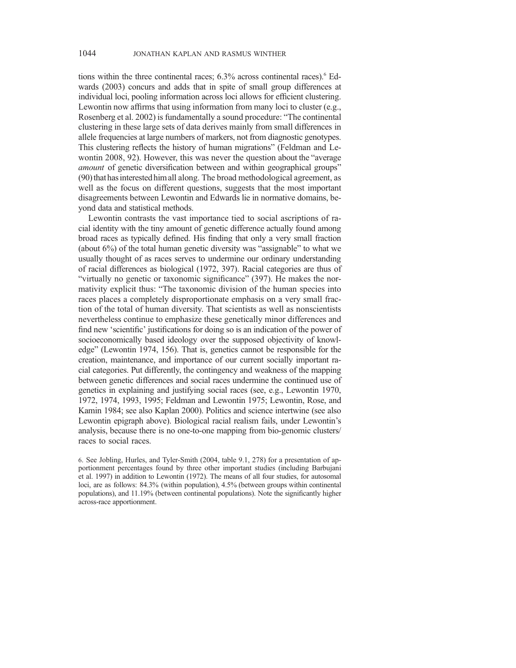tions within the three continental races;  $6.3\%$  across continental races).<sup>6</sup> Edwards (2003) concurs and adds that in spite of small group differences at individual loci, pooling information across loci allows for efficient clustering. Lewontin now affirms that using information from many loci to cluster (e.g., Rosenberg et al. 2002) is fundamentally a sound procedure: "The continental clustering in these large sets of data derives mainly from small differences in allele frequencies at large numbers of markers, not from diagnostic genotypes. This clustering reflects the history of human migrations" (Feldman and Lewontin 2008, 92). However, this was never the question about the "average amount of genetic diversification between and within geographical groups" (90) that has interested him all along. The broad methodological agreement, as well as the focus on different questions, suggests that the most important disagreements between Lewontin and Edwards lie in normative domains, beyond data and statistical methods.

Lewontin contrasts the vast importance tied to social ascriptions of racial identity with the tiny amount of genetic difference actually found among broad races as typically defined. His finding that only a very small fraction (about 6%) of the total human genetic diversity was "assignable" to what we usually thought of as races serves to undermine our ordinary understanding of racial differences as biological (1972, 397). Racial categories are thus of "virtually no genetic or taxonomic significance" (397). He makes the normativity explicit thus: "The taxonomic division of the human species into races places a completely disproportionate emphasis on a very small fraction of the total of human diversity. That scientists as well as nonscientists nevertheless continue to emphasize these genetically minor differences and find new 'scientific' justifications for doing so is an indication of the power of socioeconomically based ideology over the supposed objectivity of knowledge" (Lewontin 1974, 156). That is, genetics cannot be responsible for the creation, maintenance, and importance of our current socially important racial categories. Put differently, the contingency and weakness of the mapping between genetic differences and social races undermine the continued use of genetics in explaining and justifying social races (see, e.g., Lewontin 1970, 1972, 1974, 1993, 1995; Feldman and Lewontin 1975; Lewontin, Rose, and Kamin 1984; see also Kaplan 2000). Politics and science intertwine (see also Lewontin epigraph above). Biological racial realism fails, under Lewontin's analysis, because there is no one-to-one mapping from bio-genomic clusters/ races to social races.

6. See Jobling, Hurles, and Tyler-Smith (2004, table 9.1, 278) for a presentation of apportionment percentages found by three other important studies (including Barbujani et al. 1997) in addition to Lewontin (1972). The means of all four studies, for autosomal loci, are as follows: 84.3% (within population), 4.5% (between groups within continental populations), and 11.19% (between continental populations). Note the significantly higher across-race apportionment.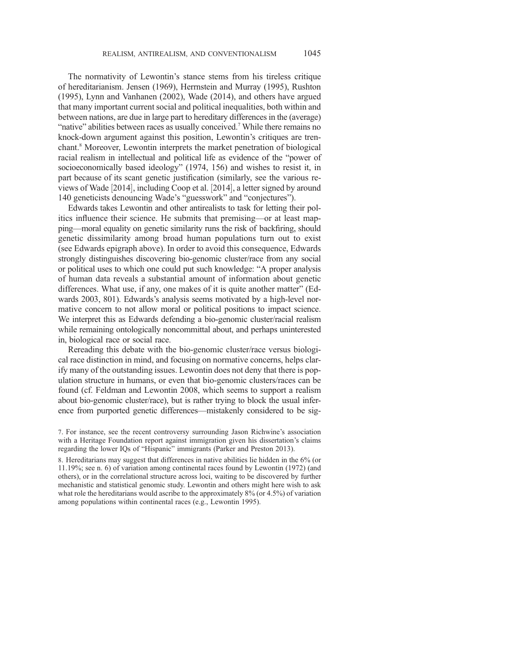The normativity of Lewontin's stance stems from his tireless critique of hereditarianism. Jensen (1969), Herrnstein and Murray (1995), Rushton (1995), Lynn and Vanhanen (2002), Wade (2014), and others have argued that many important current social and political inequalities, both within and between nations, are due in large part to hereditary differences in the (average) "native" abilities between races as usually conceived.7 While there remains no knock-down argument against this position, Lewontin's critiques are trenchant.8 Moreover, Lewontin interprets the market penetration of biological racial realism in intellectual and political life as evidence of the "power of socioeconomically based ideology" (1974, 156) and wishes to resist it, in part because of its scant genetic justification (similarly, see the various reviews of Wade  $[2014]$ , including Coop et al.  $[2014]$ , a letter signed by around 140 geneticists denouncing Wade's "guesswork" and "conjectures").

Edwards takes Lewontin and other antirealists to task for letting their politics influence their science. He submits that premising—or at least mapping—moral equality on genetic similarity runs the risk of backfiring, should genetic dissimilarity among broad human populations turn out to exist (see Edwards epigraph above). In order to avoid this consequence, Edwards strongly distinguishes discovering bio-genomic cluster/race from any social or political uses to which one could put such knowledge: "A proper analysis of human data reveals a substantial amount of information about genetic differences. What use, if any, one makes of it is quite another matter" (Edwards 2003, 801). Edwards's analysis seems motivated by a high-level normative concern to not allow moral or political positions to impact science. We interpret this as Edwards defending a bio-genomic cluster/racial realism while remaining ontologically noncommittal about, and perhaps uninterested in, biological race or social race.

Rereading this debate with the bio-genomic cluster/race versus biological race distinction in mind, and focusing on normative concerns, helps clarify many of the outstanding issues. Lewontin does not deny that there is population structure in humans, or even that bio-genomic clusters/races can be found (cf. Feldman and Lewontin 2008, which seems to support a realism about bio-genomic cluster/race), but is rather trying to block the usual inference from purported genetic differences—mistakenly considered to be sig-

<sup>7.</sup> For instance, see the recent controversy surrounding Jason Richwine's association with a Heritage Foundation report against immigration given his dissertation's claims regarding the lower IQs of "Hispanic" immigrants (Parker and Preston 2013).

<sup>8.</sup> Hereditarians may suggest that differences in native abilities lie hidden in the 6% (or 11.19%; see n. 6) of variation among continental races found by Lewontin (1972) (and others), or in the correlational structure across loci, waiting to be discovered by further mechanistic and statistical genomic study. Lewontin and others might here wish to ask what role the hereditarians would ascribe to the approximately 8% (or 4.5%) of variation among populations within continental races (e.g., Lewontin 1995).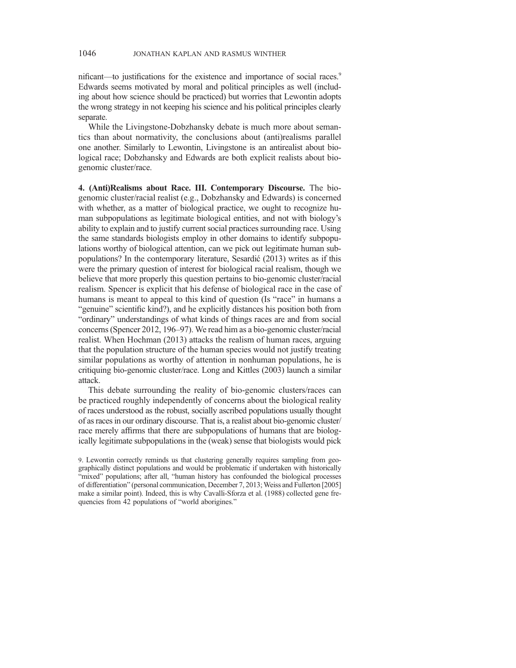nificant—to justifications for the existence and importance of social races.<sup>9</sup> Edwards seems motivated by moral and political principles as well (including about how science should be practiced) but worries that Lewontin adopts the wrong strategy in not keeping his science and his political principles clearly separate.

While the Livingstone-Dobzhansky debate is much more about semantics than about normativity, the conclusions about (anti)realisms parallel one another. Similarly to Lewontin, Livingstone is an antirealist about biological race; Dobzhansky and Edwards are both explicit realists about biogenomic cluster/race.

4. (Anti)Realisms about Race. III. Contemporary Discourse. The biogenomic cluster/racial realist (e.g., Dobzhansky and Edwards) is concerned with whether, as a matter of biological practice, we ought to recognize human subpopulations as legitimate biological entities, and not with biology's ability to explain and to justify current social practices surrounding race. Using the same standards biologists employ in other domains to identify subpopulations worthy of biological attention, can we pick out legitimate human subpopulations? In the contemporary literature, Sesardić (2013) writes as if this were the primary question of interest for biological racial realism, though we believe that more properly this question pertains to bio-genomic cluster/racial realism. Spencer is explicit that his defense of biological race in the case of humans is meant to appeal to this kind of question (Is "race" in humans a "genuine" scientific kind?), and he explicitly distances his position both from "ordinary" understandings of what kinds of things races are and from social concerns (Spencer 2012, 196–97). We read him as a bio-genomic cluster/racial realist. When Hochman (2013) attacks the realism of human races, arguing that the population structure of the human species would not justify treating similar populations as worthy of attention in nonhuman populations, he is critiquing bio-genomic cluster/race. Long and Kittles (2003) launch a similar attack.

This debate surrounding the reality of bio-genomic clusters/races can be practiced roughly independently of concerns about the biological reality of races understood as the robust, socially ascribed populations usually thought of as races in our ordinary discourse. That is, a realist about bio-genomic cluster/ race merely affirms that there are subpopulations of humans that are biologically legitimate subpopulations in the (weak) sense that biologists would pick

9. Lewontin correctly reminds us that clustering generally requires sampling from geographically distinct populations and would be problematic if undertaken with historically "mixed" populations; after all, "human history has confounded the biological processes of differentiation" (personal communication, December 7, 2013; Weiss and Fullerton [2005] make a similar point). Indeed, this is why Cavalli-Sforza et al. (1988) collected gene frequencies from 42 populations of "world aborigines."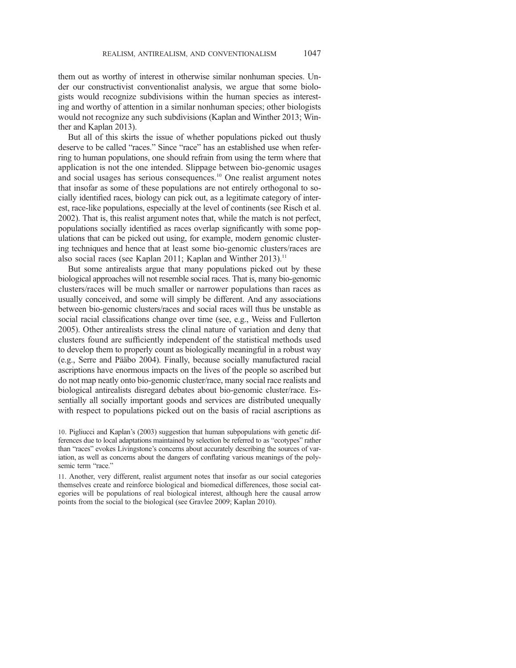them out as worthy of interest in otherwise similar nonhuman species. Under our constructivist conventionalist analysis, we argue that some biologists would recognize subdivisions within the human species as interesting and worthy of attention in a similar nonhuman species; other biologists would not recognize any such subdivisions (Kaplan and Winther 2013; Winther and Kaplan 2013).

But all of this skirts the issue of whether populations picked out thusly deserve to be called "races." Since "race" has an established use when referring to human populations, one should refrain from using the term where that application is not the one intended. Slippage between bio-genomic usages and social usages has serious consequences.<sup>10</sup> One realist argument notes that insofar as some of these populations are not entirely orthogonal to socially identified races, biology can pick out, as a legitimate category of interest, race-like populations, especially at the level of continents (see Risch et al. 2002). That is, this realist argument notes that, while the match is not perfect, populations socially identified as races overlap significantly with some populations that can be picked out using, for example, modern genomic clustering techniques and hence that at least some bio-genomic clusters/races are also social races (see Kaplan 2011; Kaplan and Winther 2013).<sup>11</sup>

But some antirealists argue that many populations picked out by these biological approaches will not resemble social races. That is, many bio-genomic clusters/races will be much smaller or narrower populations than races as usually conceived, and some will simply be different. And any associations between bio-genomic clusters/races and social races will thus be unstable as social racial classifications change over time (see, e.g., Weiss and Fullerton 2005). Other antirealists stress the clinal nature of variation and deny that clusters found are sufficiently independent of the statistical methods used to develop them to properly count as biologically meaningful in a robust way (e.g., Serre and Pääbo 2004). Finally, because socially manufactured racial ascriptions have enormous impacts on the lives of the people so ascribed but do not map neatly onto bio-genomic cluster/race, many social race realists and biological antirealists disregard debates about bio-genomic cluster/race. Essentially all socially important goods and services are distributed unequally with respect to populations picked out on the basis of racial ascriptions as

10. Pigliucci and Kaplan's (2003) suggestion that human subpopulations with genetic differences due to local adaptations maintained by selection be referred to as "ecotypes" rather than "races" evokes Livingstone's concerns about accurately describing the sources of variation, as well as concerns about the dangers of conflating various meanings of the polysemic term "race."

11. Another, very different, realist argument notes that insofar as our social categories themselves create and reinforce biological and biomedical differences, those social categories will be populations of real biological interest, although here the causal arrow points from the social to the biological (see Gravlee 2009; Kaplan 2010).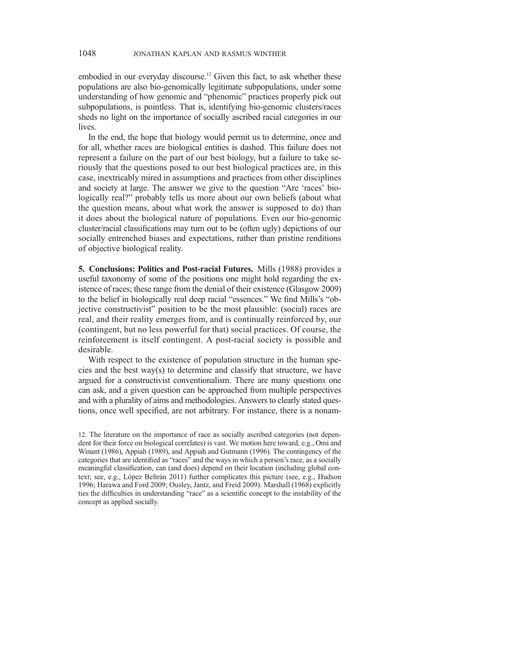embodied in our everyday discourse.<sup>12</sup> Given this fact, to ask whether these populations are also bio-genomically legitimate subpopulations, under some understanding of how genomic and "phenomic" practices properly pick out subpopulations, is pointless. That is, identifying bio-genomic clusters/races sheds no light on the importance of socially ascribed racial categories in our lives.

In the end, the hope that biology would permit us to determine, once and for all, whether races are biological entities is dashed. This failure does not represent a failure on the part of our best biology, but a failure to take seriously that the questions posed to our best biological practices are, in this case, inextricably mired in assumptions and practices from other disciplines and society at large. The answer we give to the question "Are 'races' biologically real?" probably tells us more about our own beliefs (about what the question means, about what work the answer is supposed to do) than it does about the biological nature of populations. Even our bio-genomic cluster/racial classifications may turn out to be (often ugly) depictions of our socially entrenched biases and expectations, rather than pristine renditions of objective biological reality.

5. Conclusions: Politics and Post-racial Futures. Mills (1988) provides a useful taxonomy of some of the positions one might hold regarding the existence of races; these range from the denial of their existence (Glasgow 2009) to the belief in biologically real deep racial "essences." We find Mills's "objective constructivist" position to be the most plausible: (social) races are real, and their reality emerges from, and is continually reinforced by, our (contingent, but no less powerful for that) social practices. Of course, the reinforcement is itself contingent. A post-racial society is possible and desirable.

With respect to the existence of population structure in the human species and the best way(s) to determine and classify that structure, we have argued for a constructivist conventionalism. There are many questions one can ask, and a given question can be approached from multiple perspectives and with a plurality of aims and methodologies. Answers to clearly stated questions, once well specified, are not arbitrary. For instance, there is a nonam-

12. The literature on the importance of race as socially ascribed categories (not dependent for their force on biological correlates) is vast. We motion here toward, e.g., Omi and Winant (1986), Appiah (1989), and Appiah and Gutmann (1996). The contingency of the categories that are identified as "races" and the ways in which a person's race, as a socially meaningful classification, can (and does) depend on their location (including global context; see, e.g., López Beltrán 2011) further complicates this picture (see, e.g., Hudson 1996; Harawa and Ford 2009; Ousley, Jantz, and Freid 2009). Marshall (1968) explicitly ties the difficulties in understanding "race" as a scientific concept to the instability of the concept as applied socially.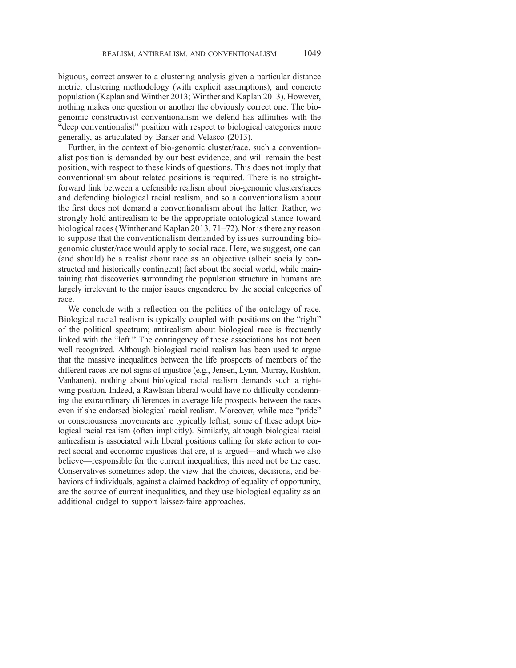biguous, correct answer to a clustering analysis given a particular distance metric, clustering methodology (with explicit assumptions), and concrete population (Kaplan and Winther 2013; Winther and Kaplan 2013). However, nothing makes one question or another the obviously correct one. The biogenomic constructivist conventionalism we defend has affinities with the "deep conventionalist" position with respect to biological categories more generally, as articulated by Barker and Velasco (2013).

Further, in the context of bio-genomic cluster/race, such a conventionalist position is demanded by our best evidence, and will remain the best position, with respect to these kinds of questions. This does not imply that conventionalism about related positions is required. There is no straightforward link between a defensible realism about bio-genomic clusters/races and defending biological racial realism, and so a conventionalism about the first does not demand a conventionalism about the latter. Rather, we strongly hold antirealism to be the appropriate ontological stance toward biological races (Winther and Kaplan 2013, 71–72). Nor is there any reason to suppose that the conventionalism demanded by issues surrounding biogenomic cluster/race would apply to social race. Here, we suggest, one can (and should) be a realist about race as an objective (albeit socially constructed and historically contingent) fact about the social world, while maintaining that discoveries surrounding the population structure in humans are largely irrelevant to the major issues engendered by the social categories of race.

We conclude with a reflection on the politics of the ontology of race. Biological racial realism is typically coupled with positions on the "right" of the political spectrum; antirealism about biological race is frequently linked with the "left." The contingency of these associations has not been well recognized. Although biological racial realism has been used to argue that the massive inequalities between the life prospects of members of the different races are not signs of injustice (e.g., Jensen, Lynn, Murray, Rushton, Vanhanen), nothing about biological racial realism demands such a rightwing position. Indeed, a Rawlsian liberal would have no difficulty condemning the extraordinary differences in average life prospects between the races even if she endorsed biological racial realism. Moreover, while race "pride" or consciousness movements are typically leftist, some of these adopt biological racial realism (often implicitly). Similarly, although biological racial antirealism is associated with liberal positions calling for state action to correct social and economic injustices that are, it is argued—and which we also believe—responsible for the current inequalities, this need not be the case. Conservatives sometimes adopt the view that the choices, decisions, and behaviors of individuals, against a claimed backdrop of equality of opportunity, are the source of current inequalities, and they use biological equality as an additional cudgel to support laissez-faire approaches.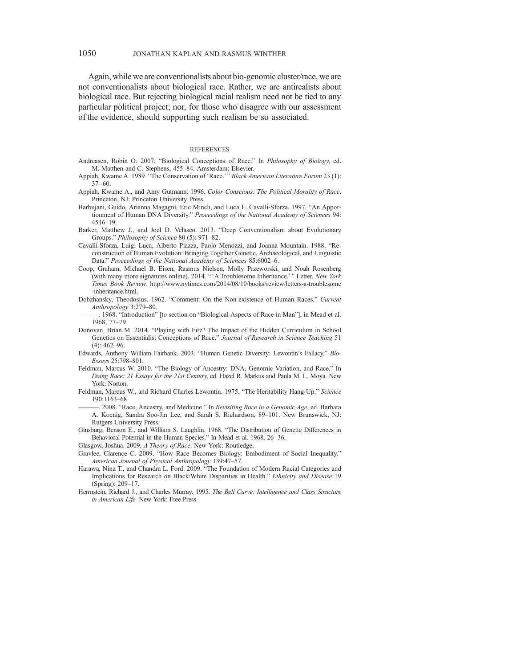Again, while we are conventionalists about bio-genomic cluster/race, we are not conventionalists about biological race. Rather, we are antirealists about biological race. But rejecting biological racial realism need not be tied to any particular political project; nor, for those who disagree with our assessment of the evidence, should supporting such realism be so associated.

#### **REFERENCES**

- Andreasen, Robin O. 2007. "Biological Conceptions of Race." In Philosophy of Biology, ed. M. Matthen and C. Stephens, 455–84. Amsterdam: Elsevier.
- Appiah, Kwame A. 1989. "The Conservation of 'Race.'" Black American Literature Forum 23 (1): 37–60.
- Appiah, Kwame A., and Amy Gutmann. 1996. Color Conscious: The Political Morality of Race. Princeton, NJ: Princeton University Press.
- Barbujani, Guido, Arianna Magagni, Eric Minch, and Luca L. Cavalli-Sforza. 1997. "An Apportionment of Human DNA Diversity." Proceedings of the National Academy of Sciences 94: 4516–19.
- Barker, Matthew J., and Joel D. Velasco. 2013. "Deep Conventionalism about Evolutionary Groups." Philosophy of Science 80 (5): 971–82.
- Cavalli-Sforza, Luigi Luca, Alberto Piazza, Paolo Menozzi, and Joanna Mountain. 1988. "Reconstruction of Human Evolution: Bringing Together Genetic, Archaeological, and Linguistic Data." Proceedings of the National Academy of Sciences 85:6002–6.
- Coop, Graham, Michael B. Eisen, Rasmus Nielsen, Molly Przeworski, and Noah Rosenberg (with many more signatures online). 2014. " 'A Troublesome Inheritance.' " Letter. New York Times Book Review. http://www.nytimes.com/2014/08/10/books/review/letters-a-troublesome -inheritance.html.
- Dobzhansky, Theodosius. 1962. "Comment: On the Non-existence of Human Races." Current Anthropology 3:279–80.
- -. 1968. "Introduction" [to section on "Biological Aspects of Race in Man"], in Mead et al. 1968, 77–79.
- Donovan, Brian M. 2014. "Playing with Fire? The Impact of the Hidden Curriculum in School Genetics on Essentialist Conceptions of Race." Journal of Research in Science Teaching 51 (4): 462–96.
- Edwards, Anthony William Fairbank. 2003. "Human Genetic Diversity: Lewontin's Fallacy." Bio-Essays 25:798–801.
- Feldman, Marcus W. 2010. "The Biology of Ancestry: DNA, Genomic Variation, and Race." In Doing Race: 21 Essays for the 21st Century, ed. Hazel R. Markus and Paula M. L. Moya. New York: Norton.
- Feldman, Marcus W., and Richard Charles Lewontin. 1975. "The Heritability Hang-Up." Science 190:1163–68.
- . 2008. "Race, Ancestry, and Medicine." In Revisiting Race in a Genomic Age, ed. Barbara A. Koenig, Sandra Soo-Jin Lee, and Sarah S. Richardson, 89–101. New Brunswick, NJ: Rutgers University Press.
- Ginsburg, Benson E., and William S. Laughlin. 1968. "The Distribution of Genetic Differences in Behavioral Potential in the Human Species." In Mead et al. 1968, 26–36.
- Glasgow, Joshua. 2009. A Theory of Race. New York: Routledge.
- Gravlee, Clarence C. 2009. "How Race Becomes Biology: Embodiment of Social Inequality." American Journal of Physical Anthropology 139:47–57.
- Harawa, Nina T., and Chandra L. Ford. 2009. "The Foundation of Modern Racial Categories and Implications for Research on Black/White Disparities in Health." Ethnicity and Disease 19 (Spring): 209–17.
- Herrnstein, Richard J., and Charles Murray. 1995. The Bell Curve: Intelligence and Class Structure in American Life. New York: Free Press.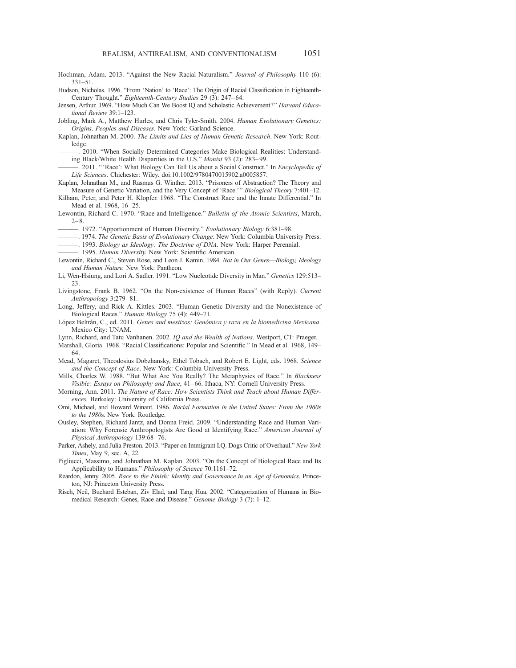- Hochman, Adam. 2013. "Against the New Racial Naturalism." Journal of Philosophy 110 (6): 331–51.
- Hudson, Nicholas. 1996. "From 'Nation' to 'Race': The Origin of Racial Classification in Eighteenth-Century Thought." Eighteenth-Century Studies 29 (3): 247-64.
- Jensen, Arthur. 1969. "How Much Can We Boost IQ and Scholastic Achievement?" Harvard Educational Review 39:1–123.
- Jobling, Mark A., Matthew Hurles, and Chris Tyler-Smith. 2004. Human Evolutionary Genetics: Origins, Peoples and Diseases. New York: Garland Science.
- Kaplan, Johnathan M. 2000. The Limits and Lies of Human Genetic Research. New York: Routledge.
	- . 2010. "When Socially Determined Categories Make Biological Realities: Understanding Black/White Health Disparities in the U.S." Monist 93 (2): 283–99.
- -. 2011. "'Race': What Biology Can Tell Us about a Social Construct." In Encyclopedia of Life Sciences. Chichester: Wiley. doi:10.1002/9780470015902.a0005857.
- Kaplan, Johnathan M., and Rasmus G. Winther. 2013. "Prisoners of Abstraction? The Theory and Measure of Genetic Variation, and the Very Concept of 'Race.' " Biological Theory 7:401–12.
- Kilham, Peter, and Peter H. Klopfer. 1968. "The Construct Race and the Innate Differential." In Mead et al. 1968, 16–25.
- Lewontin, Richard C. 1970. "Race and Intelligence." Bulletin of the Atomic Scientists, March,  $2 - 8$ 
	- -. 1972. "Apportionment of Human Diversity." Evolutionary Biology 6:381–98.
	- -. 1974. The Genetic Basis of Evolutionary Change. New York: Columbia University Press.
- -. 1993. Biology as Ideology: The Doctrine of DNA. New York: Harper Perennial.
- ———. 1995. Human Diversity. New York: Scientific American.
- Lewontin, Richard C., Steven Rose, and Leon J. Kamin. 1984. Not in Our Genes—Biology, Ideology and Human Nature. New York: Pantheon.
- Li, Wen-Hsiung, and Lori A. Sadler. 1991. "Low Nucleotide Diversity in Man." Genetics 129:513–  $23$
- Livingstone, Frank B. 1962. "On the Non-existence of Human Races" (with Reply). Current Anthropology 3:279–81.
- Long, Jeffery, and Rick A. Kittles. 2003. "Human Genetic Diversity and the Nonexistence of Biological Races." Human Biology 75 (4): 449–71.
- López Beltrán, C., ed. 2011. Genes and mestizos: Genómica y raza en la biomedicina Mexicana. Mexico City: UNAM.
- Lynn, Richard, and Tatu Vanhanen. 2002. IQ and the Wealth of Nations. Westport, CT: Praeger.
- Marshall, Gloria. 1968. "Racial Classifications: Popular and Scientific." In Mead et al. 1968, 149– 64.
- Mead, Magaret, Theodosius Dobzhansky, Ethel Tobach, and Robert E. Light, eds. 1968. Science and the Concept of Race. New York: Columbia University Press.
- Mills, Charles W. 1988. "But What Are You Really? The Metaphysics of Race." In Blackness Visible: Essays on Philosophy and Race, 41–66. Ithaca, NY: Cornell University Press.
- Morning, Ann. 2011. The Nature of Race: How Scientists Think and Teach about Human Differences. Berkeley: University of California Press.
- Omi, Michael, and Howard Winant. 1986. Racial Formation in the United States: From the 1960s to the 1980s. New York: Routledge.
- Ousley, Stephen, Richard Jantz, and Donna Freid. 2009. "Understanding Race and Human Variation: Why Forensic Anthropologists Are Good at Identifying Race." American Journal of Physical Anthropology 139:68–76.
- Parker, Ashely, and Julia Preston. 2013. "Paper on Immigrant I.Q. Dogs Critic of Overhaul." New York Times, May 9, sec. A, 22.
- Pigliucci, Massimo, and Johnathan M. Kaplan. 2003. "On the Concept of Biological Race and Its Applicability to Humans." Philosophy of Science 70:1161–72.
- Reardon, Jenny. 2005. Race to the Finish: Identity and Governance in an Age of Genomics. Princeton, NJ: Princeton University Press.
- Risch, Neil, Buchard Esteban, Ziv Elad, and Tang Hua. 2002. "Categorization of Humans in Biomedical Research: Genes, Race and Disease." Genome Biology 3 (7): 1–12.